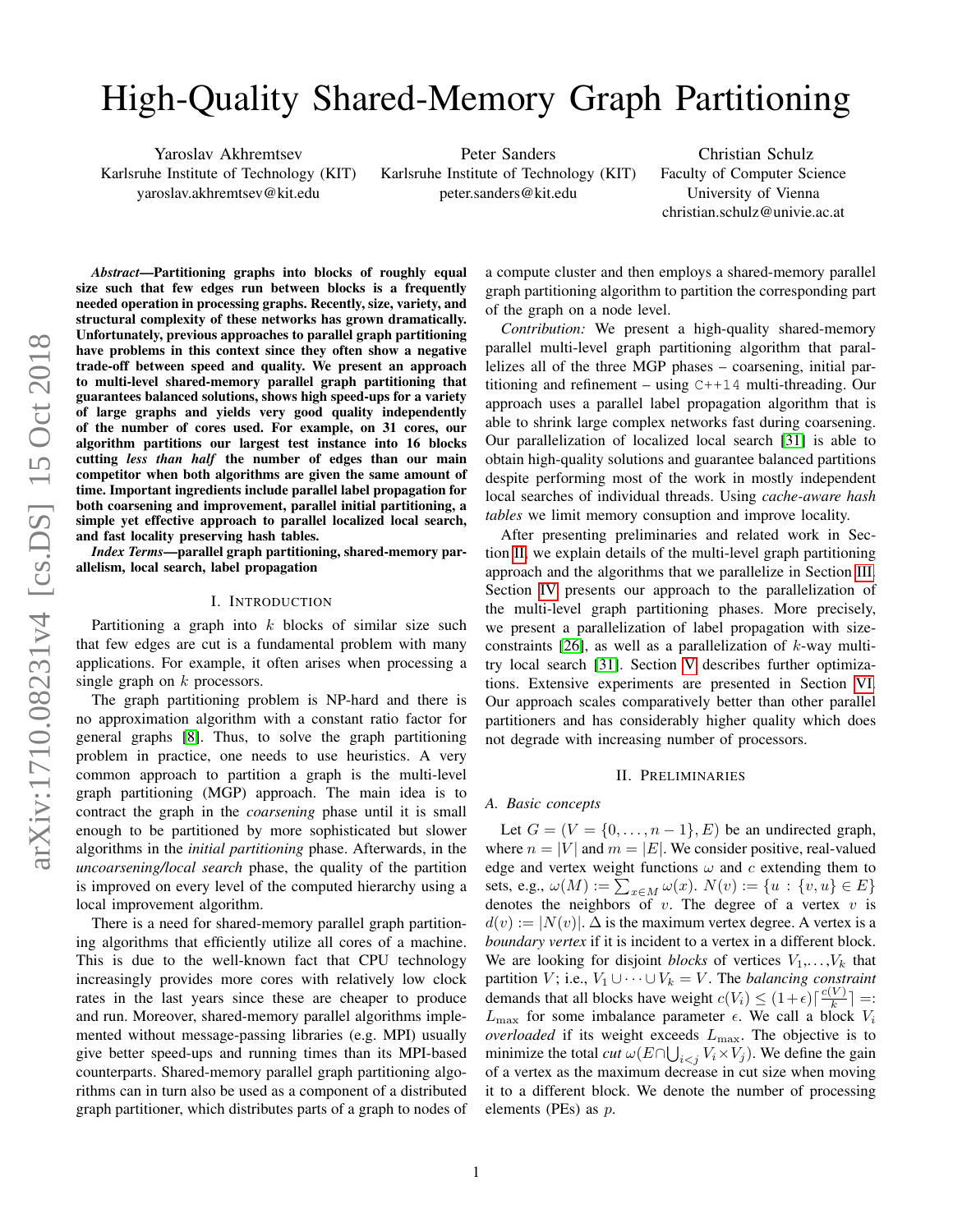# arXiv:1710.08231v4 [cs.DS] 15 Oct 2018 arXiv:1710.08231v4 [cs.DS] 15 Oct 2018

# High-Quality Shared-Memory Graph Partitioning

Yaroslav Akhremtsev Karlsruhe Institute of Technology (KIT) yaroslav.akhremtsev@kit.edu

Peter Sanders Karlsruhe Institute of Technology (KIT) peter.sanders@kit.edu

Christian Schulz Faculty of Computer Science University of Vienna christian.schulz@univie.ac.at

*Abstract*—Partitioning graphs into blocks of roughly equal size such that few edges run between blocks is a frequently needed operation in processing graphs. Recently, size, variety, and structural complexity of these networks has grown dramatically. Unfortunately, previous approaches to parallel graph partitioning have problems in this context since they often show a negative trade-off between speed and quality. We present an approach to multi-level shared-memory parallel graph partitioning that guarantees balanced solutions, shows high speed-ups for a variety of large graphs and yields very good quality independently of the number of cores used. For example, on 31 cores, our algorithm partitions our largest test instance into 16 blocks cutting *less than half* the number of edges than our main competitor when both algorithms are given the same amount of time. Important ingredients include parallel label propagation for both coarsening and improvement, parallel initial partitioning, a simple yet effective approach to parallel localized local search, and fast locality preserving hash tables.

*Index Terms*—parallel graph partitioning, shared-memory parallelism, local search, label propagation

# I. INTRODUCTION

Partitioning a graph into  $k$  blocks of similar size such that few edges are cut is a fundamental problem with many applications. For example, it often arises when processing a single graph on  $k$  processors.

The graph partitioning problem is NP-hard and there is no approximation algorithm with a constant ratio factor for general graphs [\[8\]](#page-10-0). Thus, to solve the graph partitioning problem in practice, one needs to use heuristics. A very common approach to partition a graph is the multi-level graph partitioning (MGP) approach. The main idea is to contract the graph in the *coarsening* phase until it is small enough to be partitioned by more sophisticated but slower algorithms in the *initial partitioning* phase. Afterwards, in the *uncoarsening/local search* phase, the quality of the partition is improved on every level of the computed hierarchy using a local improvement algorithm.

There is a need for shared-memory parallel graph partitioning algorithms that efficiently utilize all cores of a machine. This is due to the well-known fact that CPU technology increasingly provides more cores with relatively low clock rates in the last years since these are cheaper to produce and run. Moreover, shared-memory parallel algorithms implemented without message-passing libraries (e.g. MPI) usually give better speed-ups and running times than its MPI-based counterparts. Shared-memory parallel graph partitioning algorithms can in turn also be used as a component of a distributed graph partitioner, which distributes parts of a graph to nodes of a compute cluster and then employs a shared-memory parallel graph partitioning algorithm to partition the corresponding part of the graph on a node level.

*Contribution:* We present a high-quality shared-memory parallel multi-level graph partitioning algorithm that parallelizes all of the three MGP phases – coarsening, initial partitioning and refinement – using C++14 multi-threading. Our approach uses a parallel label propagation algorithm that is able to shrink large complex networks fast during coarsening. Our parallelization of localized local search [\[31\]](#page-11-0) is able to obtain high-quality solutions and guarantee balanced partitions despite performing most of the work in mostly independent local searches of individual threads. Using *cache-aware hash tables* we limit memory consuption and improve locality.

After presenting preliminaries and related work in Section [II,](#page-0-0) we explain details of the multi-level graph partitioning approach and the algorithms that we parallelize in Section [III.](#page-1-0) Section [IV](#page-3-0) presents our approach to the parallelization of the multi-level graph partitioning phases. More precisely, we present a parallelization of label propagation with sizeconstraints  $[26]$ , as well as a parallelization of  $k$ -way multitry local search [\[31\]](#page-11-0). Section [V](#page-5-0) describes further optimizations. Extensive experiments are presented in Section [VI.](#page-5-1) Our approach scales comparatively better than other parallel partitioners and has considerably higher quality which does not degrade with increasing number of processors.

#### II. PRELIMINARIES

#### <span id="page-0-0"></span>*A. Basic concepts*

Let  $G = (V = \{0, \ldots, n-1\}, E)$  be an undirected graph, where  $n = |V|$  and  $m = |E|$ . We consider positive, real-valued edge and vertex weight functions  $\omega$  and c extending them to sets, e.g.,  $\omega(M) := \sum_{x \in M} \omega(x)$ .  $N(v) := \{u : \{v, u\} \in E\}$ denotes the neighbors of  $v$ . The degree of a vertex  $v$  is  $d(v) := |N(v)|$ .  $\Delta$  is the maximum vertex degree. A vertex is a *boundary vertex* if it is incident to a vertex in a different block. We are looking for disjoint *blocks* of vertices  $V_1, \ldots, V_k$  that partition V; i.e.,  $V_1 \cup \cdots \cup V_k = V$ . The *balancing constraint* demands that all blocks have weight  $c(V_i) \leq (1+\epsilon)\lceil \frac{c(V)}{k} \rceil$  $\frac{\nu}{k}$ ] =:  $L_{\text{max}}$  for some imbalance parameter  $\epsilon$ . We call a block  $V_i$ *overloaded* if its weight exceeds  $L_{\text{max}}$ . The objective is to minimize the total *cut*  $\omega(E \cap \bigcup_{i < j} V_i \times V_j)$ . We define the gain of a vertex as the maximum decrease in cut size when moving it to a different block. We denote the number of processing elements (PEs) as p.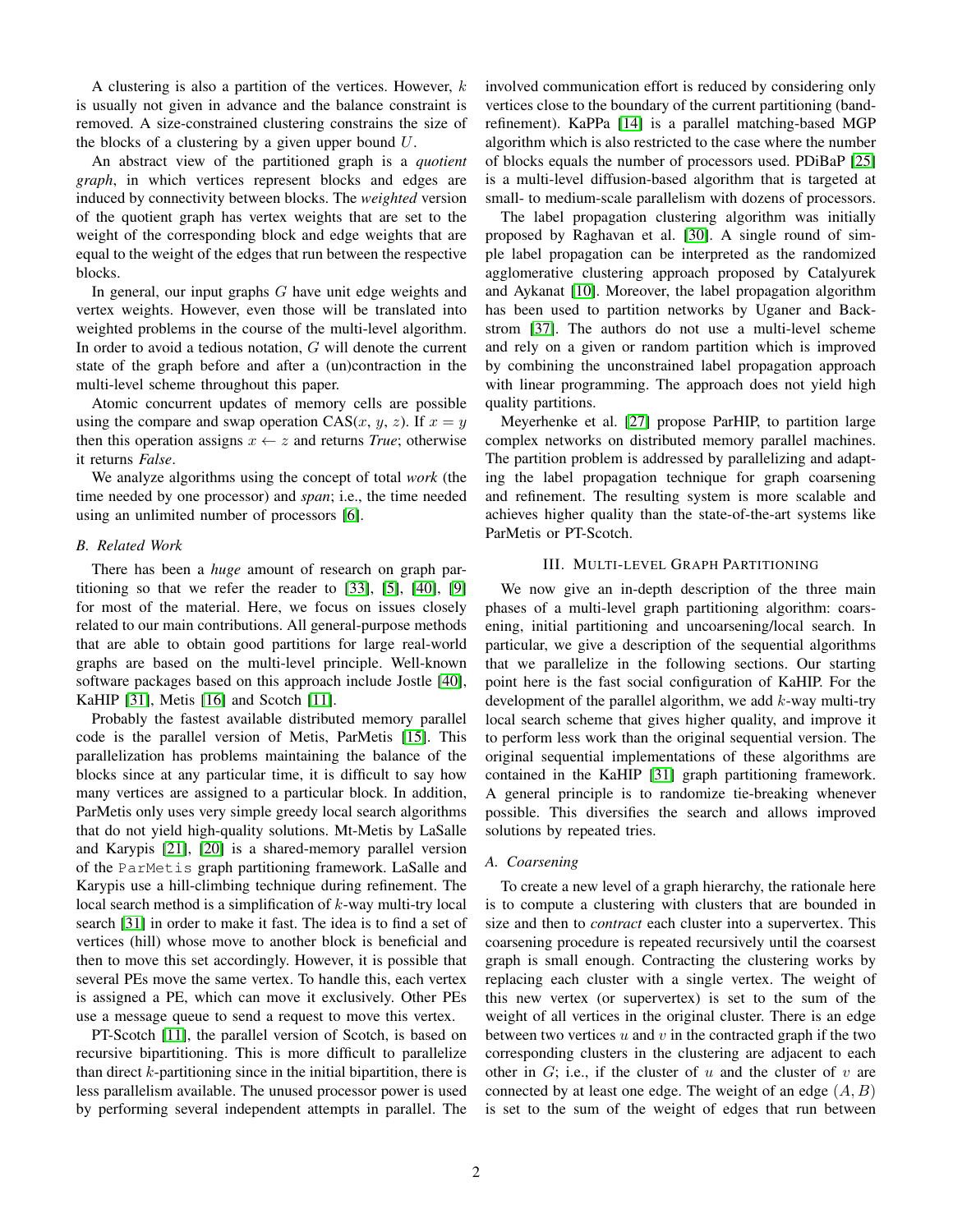A clustering is also a partition of the vertices. However,  $k$ is usually not given in advance and the balance constraint is removed. A size-constrained clustering constrains the size of the blocks of a clustering by a given upper bound  $U$ .

An abstract view of the partitioned graph is a *quotient graph*, in which vertices represent blocks and edges are induced by connectivity between blocks. The *weighted* version of the quotient graph has vertex weights that are set to the weight of the corresponding block and edge weights that are equal to the weight of the edges that run between the respective blocks.

In general, our input graphs  $G$  have unit edge weights and vertex weights. However, even those will be translated into weighted problems in the course of the multi-level algorithm. In order to avoid a tedious notation, G will denote the current state of the graph before and after a (un)contraction in the multi-level scheme throughout this paper.

Atomic concurrent updates of memory cells are possible using the compare and swap operation  $CAS(x, y, z)$ . If  $x = y$ then this operation assigns  $x \leftarrow z$  and returns *True*; otherwise it returns *False*.

We analyze algorithms using the concept of total *work* (the time needed by one processor) and *span*; i.e., the time needed using an unlimited number of processors [\[6\]](#page-10-2).

# *B. Related Work*

There has been a *huge* amount of research on graph partitioning so that we refer the reader to [\[33\]](#page-11-1), [\[5\]](#page-10-3), [\[40\]](#page-11-2), [\[9\]](#page-10-4) for most of the material. Here, we focus on issues closely related to our main contributions. All general-purpose methods that are able to obtain good partitions for large real-world graphs are based on the multi-level principle. Well-known software packages based on this approach include Jostle [\[40\]](#page-11-2), KaHIP [\[31\]](#page-11-0), Metis [\[16\]](#page-10-5) and Scotch [\[11\]](#page-10-6).

Probably the fastest available distributed memory parallel code is the parallel version of Metis, ParMetis [\[15\]](#page-10-7). This parallelization has problems maintaining the balance of the blocks since at any particular time, it is difficult to say how many vertices are assigned to a particular block. In addition, ParMetis only uses very simple greedy local search algorithms that do not yield high-quality solutions. Mt-Metis by LaSalle and Karypis [\[21\]](#page-10-8), [\[20\]](#page-10-9) is a shared-memory parallel version of the ParMetis graph partitioning framework. LaSalle and Karypis use a hill-climbing technique during refinement. The local search method is a simplification of  $k$ -way multi-try local search [\[31\]](#page-11-0) in order to make it fast. The idea is to find a set of vertices (hill) whose move to another block is beneficial and then to move this set accordingly. However, it is possible that several PEs move the same vertex. To handle this, each vertex is assigned a PE, which can move it exclusively. Other PEs use a message queue to send a request to move this vertex.

PT-Scotch [\[11\]](#page-10-6), the parallel version of Scotch, is based on recursive bipartitioning. This is more difficult to parallelize than direct  $k$ -partitioning since in the initial bipartition, there is less parallelism available. The unused processor power is used by performing several independent attempts in parallel. The involved communication effort is reduced by considering only vertices close to the boundary of the current partitioning (bandrefinement). KaPPa [\[14\]](#page-10-10) is a parallel matching-based MGP algorithm which is also restricted to the case where the number of blocks equals the number of processors used. PDiBaP [\[25\]](#page-10-11) is a multi-level diffusion-based algorithm that is targeted at small- to medium-scale parallelism with dozens of processors.

The label propagation clustering algorithm was initially proposed by Raghavan et al. [\[30\]](#page-11-3). A single round of simple label propagation can be interpreted as the randomized agglomerative clustering approach proposed by Catalyurek and Aykanat [\[10\]](#page-10-12). Moreover, the label propagation algorithm has been used to partition networks by Uganer and Backstrom [\[37\]](#page-11-4). The authors do not use a multi-level scheme and rely on a given or random partition which is improved by combining the unconstrained label propagation approach with linear programming. The approach does not yield high quality partitions.

Meyerhenke et al. [\[27\]](#page-11-5) propose ParHIP, to partition large complex networks on distributed memory parallel machines. The partition problem is addressed by parallelizing and adapting the label propagation technique for graph coarsening and refinement. The resulting system is more scalable and achieves higher quality than the state-of-the-art systems like ParMetis or PT-Scotch.

# III. MULTI-LEVEL GRAPH PARTITIONING

<span id="page-1-0"></span>We now give an in-depth description of the three main phases of a multi-level graph partitioning algorithm: coarsening, initial partitioning and uncoarsening/local search. In particular, we give a description of the sequential algorithms that we parallelize in the following sections. Our starting point here is the fast social configuration of KaHIP. For the development of the parallel algorithm, we add  $k$ -way multi-try local search scheme that gives higher quality, and improve it to perform less work than the original sequential version. The original sequential implementations of these algorithms are contained in the KaHIP [\[31\]](#page-11-0) graph partitioning framework. A general principle is to randomize tie-breaking whenever possible. This diversifies the search and allows improved solutions by repeated tries.

# *A. Coarsening*

To create a new level of a graph hierarchy, the rationale here is to compute a clustering with clusters that are bounded in size and then to *contract* each cluster into a supervertex. This coarsening procedure is repeated recursively until the coarsest graph is small enough. Contracting the clustering works by replacing each cluster with a single vertex. The weight of this new vertex (or supervertex) is set to the sum of the weight of all vertices in the original cluster. There is an edge between two vertices  $u$  and  $v$  in the contracted graph if the two corresponding clusters in the clustering are adjacent to each other in  $G$ ; i.e., if the cluster of u and the cluster of v are connected by at least one edge. The weight of an edge  $(A, B)$ is set to the sum of the weight of edges that run between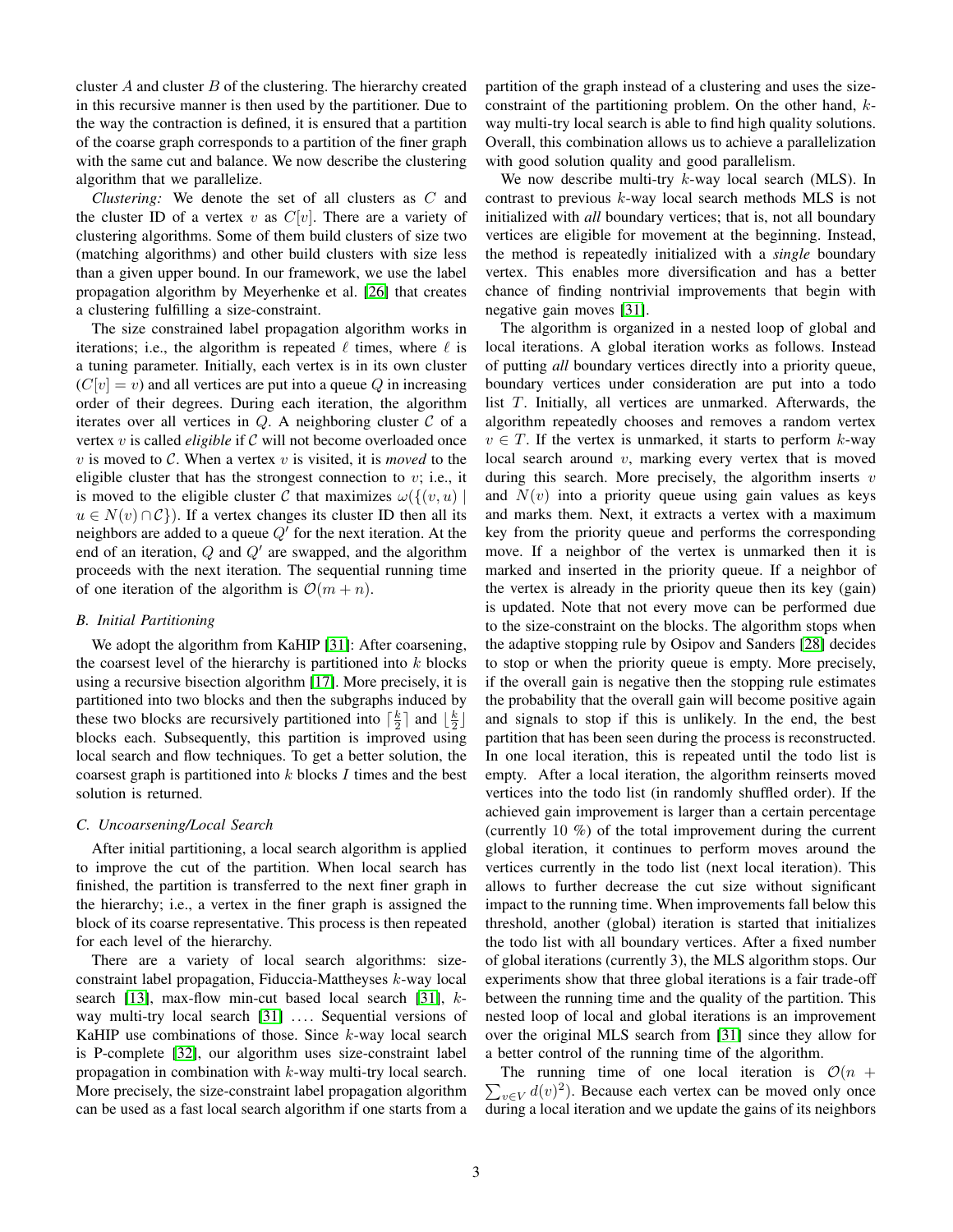cluster  $A$  and cluster  $B$  of the clustering. The hierarchy created in this recursive manner is then used by the partitioner. Due to the way the contraction is defined, it is ensured that a partition of the coarse graph corresponds to a partition of the finer graph with the same cut and balance. We now describe the clustering algorithm that we parallelize.

*Clustering:* We denote the set of all clusters as C and the cluster ID of a vertex v as  $C[v]$ . There are a variety of clustering algorithms. Some of them build clusters of size two (matching algorithms) and other build clusters with size less than a given upper bound. In our framework, we use the label propagation algorithm by Meyerhenke et al. [\[26\]](#page-10-1) that creates a clustering fulfilling a size-constraint.

The size constrained label propagation algorithm works in iterations; i.e., the algorithm is repeated  $\ell$  times, where  $\ell$  is a tuning parameter. Initially, each vertex is in its own cluster  $(C[v] = v)$  and all vertices are put into a queue Q in increasing order of their degrees. During each iteration, the algorithm iterates over all vertices in  $Q$ . A neighboring cluster  $C$  of a vertex v is called *eligible* if C will not become overloaded once  $v$  is moved to  $C$ . When a vertex  $v$  is visited, it is *moved* to the eligible cluster that has the strongest connection to  $v$ ; i.e., it is moved to the eligible cluster C that maximizes  $\omega(\{(v, u)\})$  $u \in N(v) \cap C$ ). If a vertex changes its cluster ID then all its neighbors are added to a queue  $Q'$  for the next iteration. At the end of an iteration,  $Q$  and  $Q'$  are swapped, and the algorithm proceeds with the next iteration. The sequential running time of one iteration of the algorithm is  $\mathcal{O}(m + n)$ .

#### *B. Initial Partitioning*

We adopt the algorithm from KaHIP [\[31\]](#page-11-0): After coarsening, the coarsest level of the hierarchy is partitioned into  $k$  blocks using a recursive bisection algorithm [\[17\]](#page-10-13). More precisely, it is partitioned into two blocks and then the subgraphs induced by these two blocks are recursively partitioned into  $\lceil \frac{k}{2} \rceil$  and  $\lfloor \frac{k}{2} \rfloor$ blocks each. Subsequently, this partition is improved using local search and flow techniques. To get a better solution, the coarsest graph is partitioned into  $k$  blocks  $I$  times and the best solution is returned.

#### *C. Uncoarsening/Local Search*

After initial partitioning, a local search algorithm is applied to improve the cut of the partition. When local search has finished, the partition is transferred to the next finer graph in the hierarchy; i.e., a vertex in the finer graph is assigned the block of its coarse representative. This process is then repeated for each level of the hierarchy.

There are a variety of local search algorithms: sizeconstraint label propagation, Fiduccia-Mattheyses k-way local search [\[13\]](#page-10-14), max-flow min-cut based local search [\[31\]](#page-11-0), k-way multi-try local search [\[31\]](#page-11-0) .... Sequential versions of KaHIP use combinations of those. Since  $k$ -way local search is P-complete [\[32\]](#page-11-6), our algorithm uses size-constraint label propagation in combination with k-way multi-try local search. More precisely, the size-constraint label propagation algorithm can be used as a fast local search algorithm if one starts from a partition of the graph instead of a clustering and uses the sizeconstraint of the partitioning problem. On the other hand,  $k$ way multi-try local search is able to find high quality solutions. Overall, this combination allows us to achieve a parallelization with good solution quality and good parallelism.

We now describe multi-try  $k$ -way local search (MLS). In contrast to previous k-way local search methods MLS is not initialized with *all* boundary vertices; that is, not all boundary vertices are eligible for movement at the beginning. Instead, the method is repeatedly initialized with a *single* boundary vertex. This enables more diversification and has a better chance of finding nontrivial improvements that begin with negative gain moves [\[31\]](#page-11-0).

The algorithm is organized in a nested loop of global and local iterations. A global iteration works as follows. Instead of putting *all* boundary vertices directly into a priority queue, boundary vertices under consideration are put into a todo list T. Initially, all vertices are unmarked. Afterwards, the algorithm repeatedly chooses and removes a random vertex  $v \in T$ . If the vertex is unmarked, it starts to perform k-way local search around  $v$ , marking every vertex that is moved during this search. More precisely, the algorithm inserts  $v$ and  $N(v)$  into a priority queue using gain values as keys and marks them. Next, it extracts a vertex with a maximum key from the priority queue and performs the corresponding move. If a neighbor of the vertex is unmarked then it is marked and inserted in the priority queue. If a neighbor of the vertex is already in the priority queue then its key (gain) is updated. Note that not every move can be performed due to the size-constraint on the blocks. The algorithm stops when the adaptive stopping rule by Osipov and Sanders [\[28\]](#page-11-7) decides to stop or when the priority queue is empty. More precisely, if the overall gain is negative then the stopping rule estimates the probability that the overall gain will become positive again and signals to stop if this is unlikely. In the end, the best partition that has been seen during the process is reconstructed. In one local iteration, this is repeated until the todo list is empty. After a local iteration, the algorithm reinserts moved vertices into the todo list (in randomly shuffled order). If the achieved gain improvement is larger than a certain percentage (currently 10 %) of the total improvement during the current global iteration, it continues to perform moves around the vertices currently in the todo list (next local iteration). This allows to further decrease the cut size without significant impact to the running time. When improvements fall below this threshold, another (global) iteration is started that initializes the todo list with all boundary vertices. After a fixed number of global iterations (currently 3), the MLS algorithm stops. Our experiments show that three global iterations is a fair trade-off between the running time and the quality of the partition. This nested loop of local and global iterations is an improvement over the original MLS search from [\[31\]](#page-11-0) since they allow for a better control of the running time of the algorithm.

 $\sum_{v \in V} d(v)^2$ ). Because each vertex can be moved only once The running time of one local iteration is  $\mathcal{O}(n +$ during a local iteration and we update the gains of its neighbors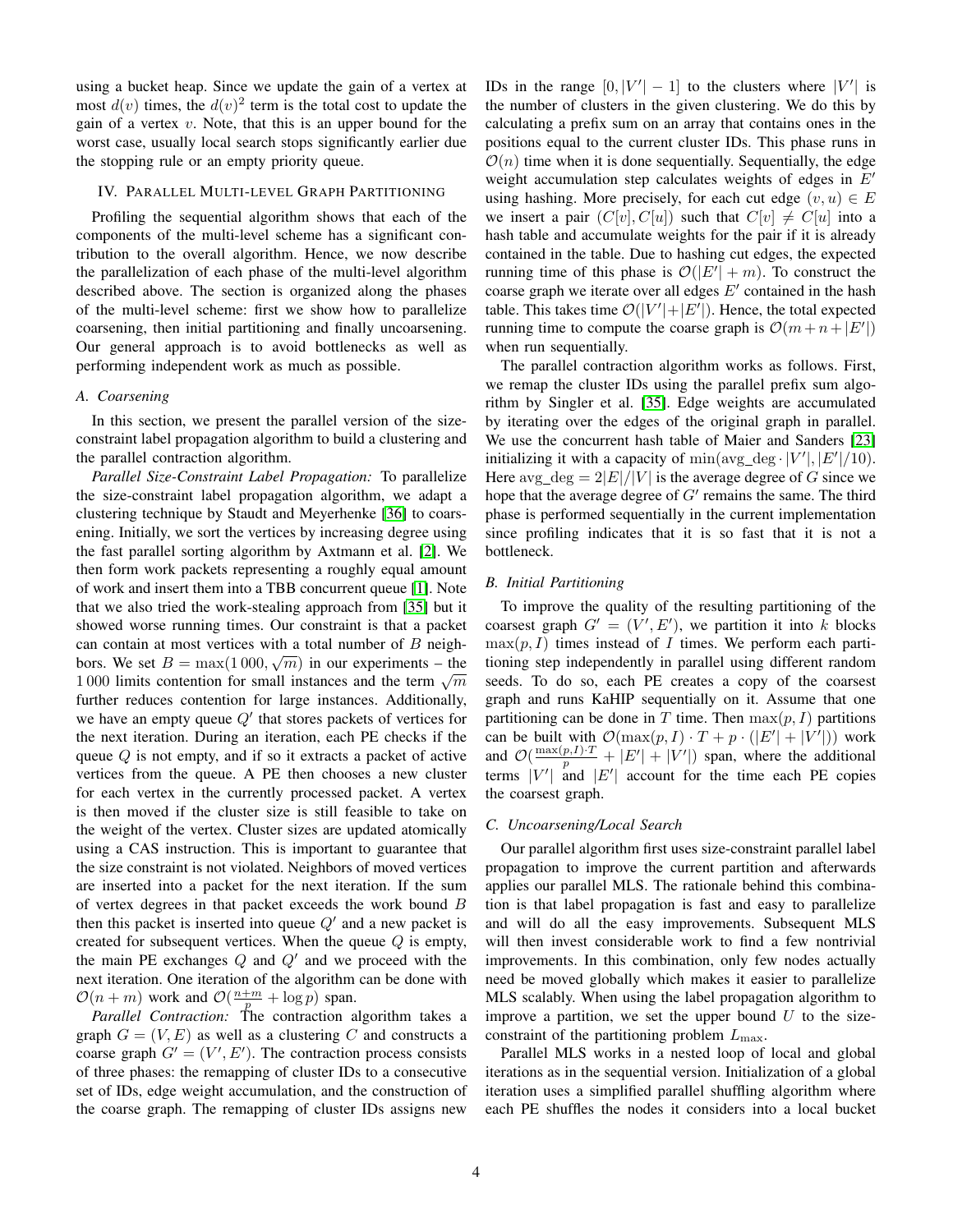using a bucket heap. Since we update the gain of a vertex at most  $d(v)$  times, the  $d(v)^2$  term is the total cost to update the gain of a vertex  $v$ . Note, that this is an upper bound for the worst case, usually local search stops significantly earlier due the stopping rule or an empty priority queue.

#### <span id="page-3-0"></span>IV. PARALLEL MULTI-LEVEL GRAPH PARTITIONING

Profiling the sequential algorithm shows that each of the components of the multi-level scheme has a significant contribution to the overall algorithm. Hence, we now describe the parallelization of each phase of the multi-level algorithm described above. The section is organized along the phases of the multi-level scheme: first we show how to parallelize coarsening, then initial partitioning and finally uncoarsening. Our general approach is to avoid bottlenecks as well as performing independent work as much as possible.

#### *A. Coarsening*

In this section, we present the parallel version of the sizeconstraint label propagation algorithm to build a clustering and the parallel contraction algorithm.

*Parallel Size-Constraint Label Propagation:* To parallelize the size-constraint label propagation algorithm, we adapt a clustering technique by Staudt and Meyerhenke [\[36\]](#page-11-8) to coarsening. Initially, we sort the vertices by increasing degree using the fast parallel sorting algorithm by Axtmann et al. [\[2\]](#page-10-15). We then form work packets representing a roughly equal amount of work and insert them into a TBB concurrent queue [\[1\]](#page-10-16). Note that we also tried the work-stealing approach from [\[35\]](#page-11-9) but it showed worse running times. Our constraint is that a packet can contain at most vertices with a total number of B neighbors. We set  $B = \max(1000, \sqrt{m})$  in our experiments – the 1000 limits contention for small instances and the term  $\sqrt{m}$ further reduces contention for large instances. Additionally, we have an empty queue  $Q'$  that stores packets of vertices for the next iteration. During an iteration, each PE checks if the queue  $Q$  is not empty, and if so it extracts a packet of active vertices from the queue. A PE then chooses a new cluster for each vertex in the currently processed packet. A vertex is then moved if the cluster size is still feasible to take on the weight of the vertex. Cluster sizes are updated atomically using a CAS instruction. This is important to guarantee that the size constraint is not violated. Neighbors of moved vertices are inserted into a packet for the next iteration. If the sum of vertex degrees in that packet exceeds the work bound B then this packet is inserted into queue  $Q'$  and a new packet is created for subsequent vertices. When the queue  $Q$  is empty, the main PE exchanges  $Q$  and  $Q'$  and we proceed with the next iteration. One iteration of the algorithm can be done with  $\mathcal{O}(n+m)$  work and  $\mathcal{O}(\frac{n+m}{p} + \log p)$  span.

*Parallel Contraction:* The contraction algorithm takes a graph  $G = (V, E)$  as well as a clustering C and constructs a coarse graph  $G' = (V', E')$ . The contraction process consists of three phases: the remapping of cluster IDs to a consecutive set of IDs, edge weight accumulation, and the construction of the coarse graph. The remapping of cluster IDs assigns new

IDs in the range  $[0, |V'| - 1]$  to the clusters where  $|V'|$  is the number of clusters in the given clustering. We do this by calculating a prefix sum on an array that contains ones in the positions equal to the current cluster IDs. This phase runs in  $\mathcal{O}(n)$  time when it is done sequentially. Sequentially, the edge weight accumulation step calculates weights of edges in  $E'$ using hashing. More precisely, for each cut edge  $(v, u) \in E$ we insert a pair  $(C[v], C[u])$  such that  $C[v] \neq C[u]$  into a hash table and accumulate weights for the pair if it is already contained in the table. Due to hashing cut edges, the expected running time of this phase is  $\mathcal{O}(|E'| + m)$ . To construct the coarse graph we iterate over all edges  $E'$  contained in the hash table. This takes time  $\mathcal{O}(|V'|+|E'|)$ . Hence, the total expected running time to compute the coarse graph is  $\mathcal{O}(m+n+|E'|)$ when run sequentially.

The parallel contraction algorithm works as follows. First, we remap the cluster IDs using the parallel prefix sum algorithm by Singler et al. [\[35\]](#page-11-9). Edge weights are accumulated by iterating over the edges of the original graph in parallel. We use the concurrent hash table of Maier and Sanders [\[23\]](#page-10-17) initializing it with a capacity of  $\min(\text{avg\_deg} \cdot |V'|, |E'|/10)$ . Here  $\arg_{\text{deg}} = 2|E|/|V|$  is the average degree of G since we hope that the average degree of  $G'$  remains the same. The third phase is performed sequentially in the current implementation since profiling indicates that it is so fast that it is not a bottleneck.

# *B. Initial Partitioning*

To improve the quality of the resulting partitioning of the coarsest graph  $G' = (V', E')$ , we partition it into k blocks  $\max(p, I)$  times instead of I times. We perform each partitioning step independently in parallel using different random seeds. To do so, each PE creates a copy of the coarsest graph and runs KaHIP sequentially on it. Assume that one partitioning can be done in T time. Then  $\max(p, I)$  partitions can be built with  $\mathcal{O}(\max(p, I) \cdot T + p \cdot (|E'| + |V'|))$  work and  $\mathcal{O}(\frac{\max(p, I) \cdot T}{p} + |E'| + |V'|)$  span, where the additional terms  $|V'|$  and  $|E'|$  account for the time each PE copies the coarsest graph.

#### <span id="page-3-1"></span>*C. Uncoarsening/Local Search*

Our parallel algorithm first uses size-constraint parallel label propagation to improve the current partition and afterwards applies our parallel MLS. The rationale behind this combination is that label propagation is fast and easy to parallelize and will do all the easy improvements. Subsequent MLS will then invest considerable work to find a few nontrivial improvements. In this combination, only few nodes actually need be moved globally which makes it easier to parallelize MLS scalably. When using the label propagation algorithm to improve a partition, we set the upper bound  $U$  to the sizeconstraint of the partitioning problem  $L_{\text{max}}$ .

Parallel MLS works in a nested loop of local and global iterations as in the sequential version. Initialization of a global iteration uses a simplified parallel shuffling algorithm where each PE shuffles the nodes it considers into a local bucket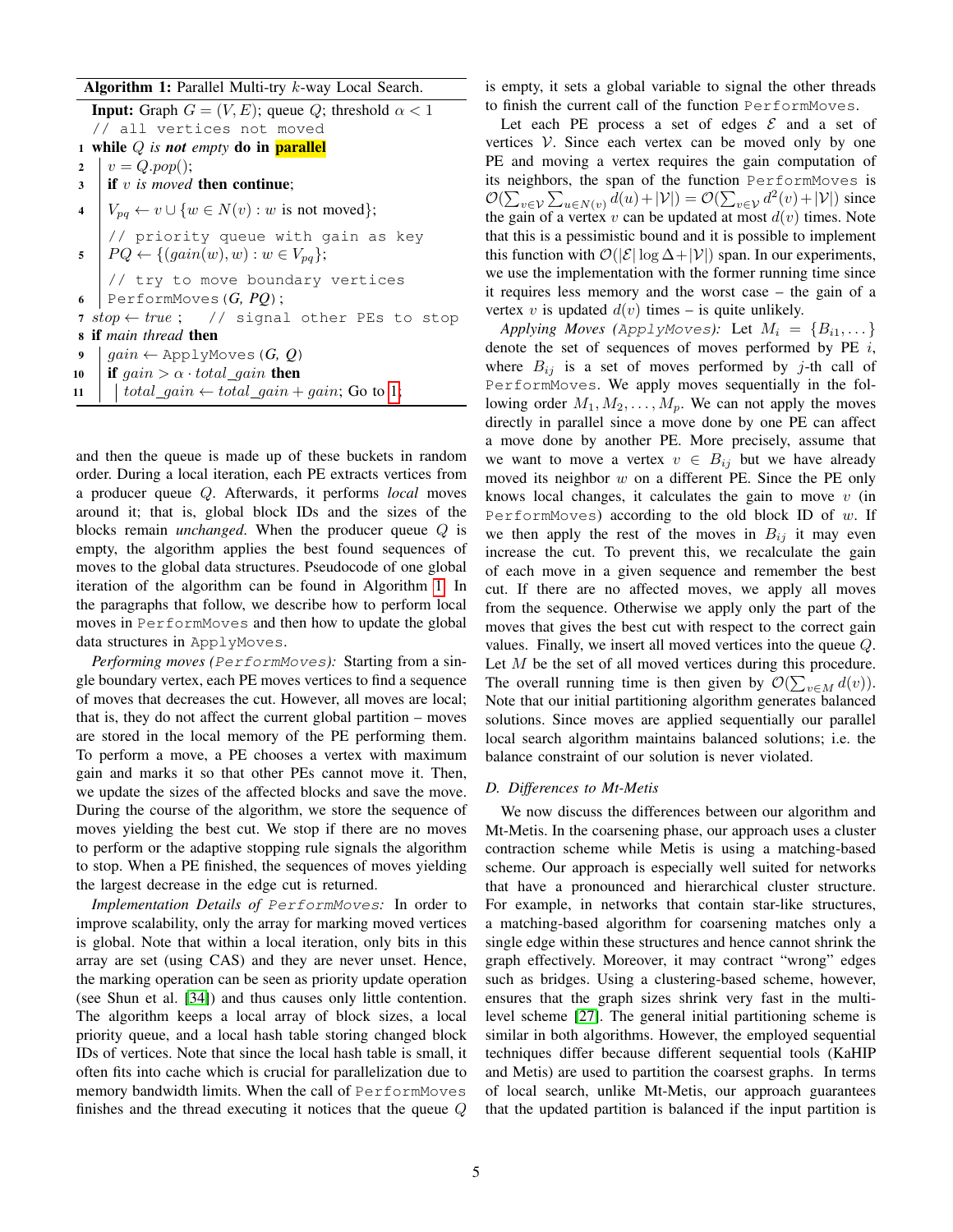<span id="page-4-0"></span>Algorithm 1: Parallel Multi-try  $k$ -way Local Search. **Input:** Graph  $G = (V, E)$ ; queue Q; threshold  $\alpha < 1$ // all vertices not moved <sup>1</sup> while Q *is not empty* do in parallel 2  $v = Q.pop($ ); <sup>3</sup> if v *is moved* then continue;  $4 \mid V_{pq} \leftarrow v \cup \{w \in N(v) : w \text{ is not moved}\};$ // priority queue with gain as key  $\mathfrak{s} \mid PQ \leftarrow \{(gain(w), w) : w \in V_{pq}\};$ // try to move boundary vertices <sup>6</sup> PerformMoves(*G, PQ*); 7  $stop \leftarrow true$ ; // signal other PEs to stop <sup>8</sup> if *main thread* then 9  $\int g \, \text{d} \eta \leftarrow \text{ApplyMoves}(G, Q)$ 10 if  $qain > \alpha \cdot total$  gain then 11 |  $total\_gain \leftarrow total\_gain + gain$ ; Go to [1;](#page-4-0)

and then the queue is made up of these buckets in random order. During a local iteration, each PE extracts vertices from a producer queue Q. Afterwards, it performs *local* moves around it; that is, global block IDs and the sizes of the blocks remain *unchanged*. When the producer queue Q is empty, the algorithm applies the best found sequences of moves to the global data structures. Pseudocode of one global iteration of the algorithm can be found in Algorithm [1.](#page-4-1) In the paragraphs that follow, we describe how to perform local moves in PerformMoves and then how to update the global data structures in ApplyMoves.

<span id="page-4-1"></span>*Performing moves (*PerformMoves*):* Starting from a single boundary vertex, each PE moves vertices to find a sequence of moves that decreases the cut. However, all moves are local; that is, they do not affect the current global partition – moves are stored in the local memory of the PE performing them. To perform a move, a PE chooses a vertex with maximum gain and marks it so that other PEs cannot move it. Then, we update the sizes of the affected blocks and save the move. During the course of the algorithm, we store the sequence of moves yielding the best cut. We stop if there are no moves to perform or the adaptive stopping rule signals the algorithm to stop. When a PE finished, the sequences of moves yielding the largest decrease in the edge cut is returned.

*Implementation Details of* PerformMoves*:* In order to improve scalability, only the array for marking moved vertices is global. Note that within a local iteration, only bits in this array are set (using CAS) and they are never unset. Hence, the marking operation can be seen as priority update operation (see Shun et al. [\[34\]](#page-11-10)) and thus causes only little contention. The algorithm keeps a local array of block sizes, a local priority queue, and a local hash table storing changed block IDs of vertices. Note that since the local hash table is small, it often fits into cache which is crucial for parallelization due to memory bandwidth limits. When the call of PerformMoves finishes and the thread executing it notices that the queue Q

is empty, it sets a global variable to signal the other threads to finish the current call of the function PerformMoves.

Let each PE process a set of edges  $\mathcal E$  and a set of vertices  $V$ . Since each vertex can be moved only by one PE and moving a vertex requires the gain computation of its neighbors, the span of the function PerformMoves is  $\mathcal{O}(\sum_{v \in \mathcal{V}} \sum_{u \in N(v)} d(u) + |\mathcal{V}|) = \mathcal{O}(\sum_{v \in \mathcal{V}} d^2(v) + |\mathcal{V}|)$  since the gain of a vertex  $v$  can be updated at most  $d(v)$  times. Note that this is a pessimistic bound and it is possible to implement this function with  $\mathcal{O}(|\mathcal{E}| \log \Delta + |\mathcal{V}|)$  span. In our experiments, we use the implementation with the former running time since it requires less memory and the worst case – the gain of a vertex v is updated  $d(v)$  times – is quite unlikely.

Applying Moves (ApplyMoves): Let  $M_i = \{B_{i1}, \dots\}$ denote the set of sequences of moves performed by PE  $i$ , where  $B_{ij}$  is a set of moves performed by j-th call of PerformMoves. We apply moves sequentially in the following order  $M_1, M_2, \ldots, M_p$ . We can not apply the moves directly in parallel since a move done by one PE can affect a move done by another PE. More precisely, assume that we want to move a vertex  $v \in B_{ij}$  but we have already moved its neighbor  $w$  on a different PE. Since the PE only knows local changes, it calculates the gain to move  $v$  (in PerformMoves) according to the old block ID of  $w$ . If we then apply the rest of the moves in  $B_{ij}$  it may even increase the cut. To prevent this, we recalculate the gain of each move in a given sequence and remember the best cut. If there are no affected moves, we apply all moves from the sequence. Otherwise we apply only the part of the moves that gives the best cut with respect to the correct gain values. Finally, we insert all moved vertices into the queue Q. Let M be the set of all moved vertices during this procedure. The overall running time is then given by  $\mathcal{O}(\sum_{v \in M} d(v))$ . Note that our initial partitioning algorithm generates balanced solutions. Since moves are applied sequentially our parallel local search algorithm maintains balanced solutions; i.e. the balance constraint of our solution is never violated.

#### *D. Differences to Mt-Metis*

We now discuss the differences between our algorithm and Mt-Metis. In the coarsening phase, our approach uses a cluster contraction scheme while Metis is using a matching-based scheme. Our approach is especially well suited for networks that have a pronounced and hierarchical cluster structure. For example, in networks that contain star-like structures, a matching-based algorithm for coarsening matches only a single edge within these structures and hence cannot shrink the graph effectively. Moreover, it may contract "wrong" edges such as bridges. Using a clustering-based scheme, however, ensures that the graph sizes shrink very fast in the multilevel scheme [\[27\]](#page-11-5). The general initial partitioning scheme is similar in both algorithms. However, the employed sequential techniques differ because different sequential tools (KaHIP and Metis) are used to partition the coarsest graphs. In terms of local search, unlike Mt-Metis, our approach guarantees that the updated partition is balanced if the input partition is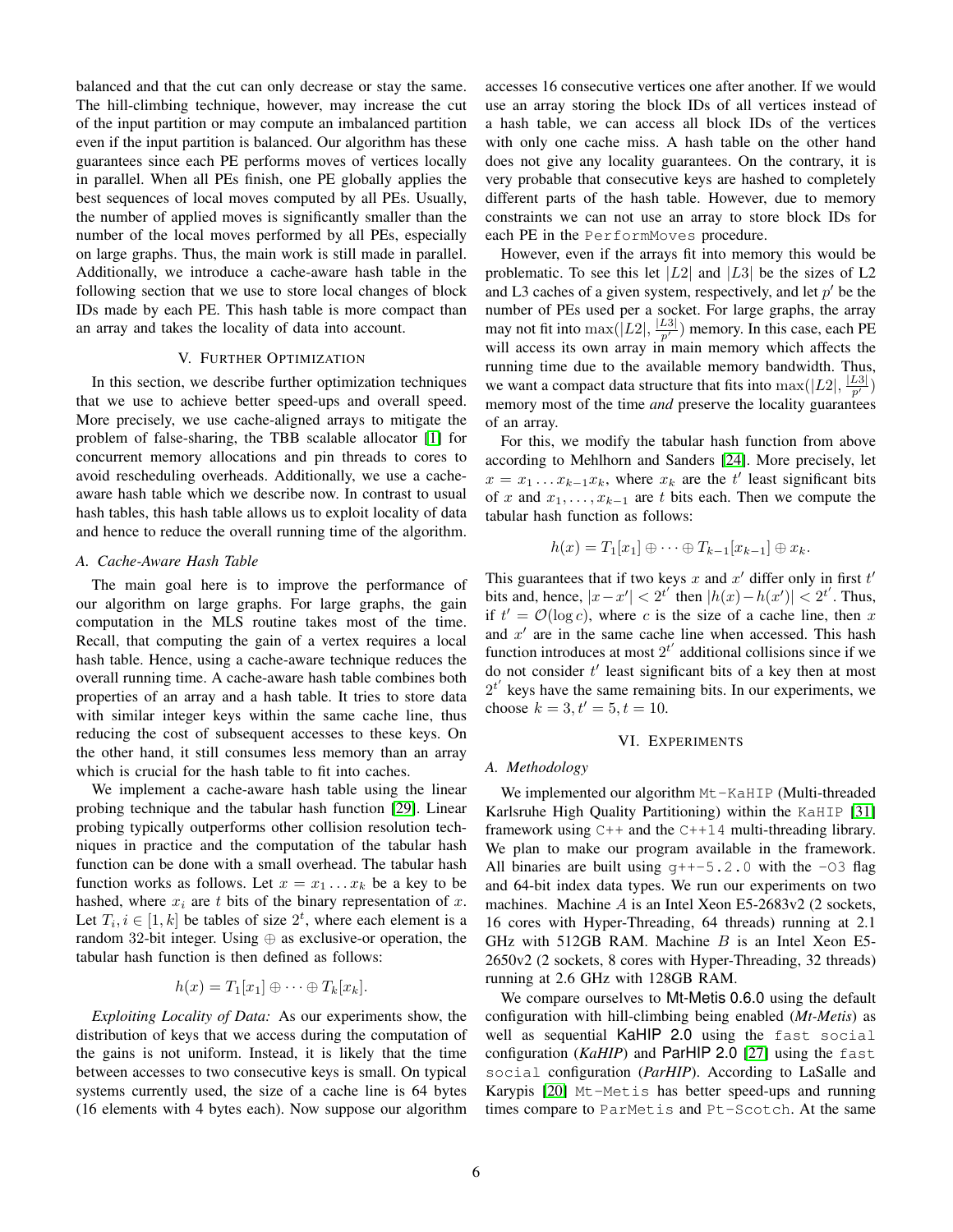balanced and that the cut can only decrease or stay the same. The hill-climbing technique, however, may increase the cut of the input partition or may compute an imbalanced partition even if the input partition is balanced. Our algorithm has these guarantees since each PE performs moves of vertices locally in parallel. When all PEs finish, one PE globally applies the best sequences of local moves computed by all PEs. Usually, the number of applied moves is significantly smaller than the number of the local moves performed by all PEs, especially on large graphs. Thus, the main work is still made in parallel. Additionally, we introduce a cache-aware hash table in the following section that we use to store local changes of block IDs made by each PE. This hash table is more compact than an array and takes the locality of data into account.

# V. FURTHER OPTIMIZATION

<span id="page-5-0"></span>In this section, we describe further optimization techniques that we use to achieve better speed-ups and overall speed. More precisely, we use cache-aligned arrays to mitigate the problem of false-sharing, the TBB scalable allocator [\[1\]](#page-10-16) for concurrent memory allocations and pin threads to cores to avoid rescheduling overheads. Additionally, we use a cacheaware hash table which we describe now. In contrast to usual hash tables, this hash table allows us to exploit locality of data and hence to reduce the overall running time of the algorithm.

#### *A. Cache-Aware Hash Table*

The main goal here is to improve the performance of our algorithm on large graphs. For large graphs, the gain computation in the MLS routine takes most of the time. Recall, that computing the gain of a vertex requires a local hash table. Hence, using a cache-aware technique reduces the overall running time. A cache-aware hash table combines both properties of an array and a hash table. It tries to store data with similar integer keys within the same cache line, thus reducing the cost of subsequent accesses to these keys. On the other hand, it still consumes less memory than an array which is crucial for the hash table to fit into caches.

We implement a cache-aware hash table using the linear probing technique and the tabular hash function [\[29\]](#page-11-11). Linear probing typically outperforms other collision resolution techniques in practice and the computation of the tabular hash function can be done with a small overhead. The tabular hash function works as follows. Let  $x = x_1 \dots x_k$  be a key to be hashed, where  $x_i$  are t bits of the binary representation of x. Let  $T_i, i \in [1, k]$  be tables of size  $2^t$ , where each element is a random 32-bit integer. Using  $oplus$  as exclusive-or operation, the tabular hash function is then defined as follows:

$$
h(x) = T_1[x_1] \oplus \cdots \oplus T_k[x_k].
$$

*Exploiting Locality of Data:* As our experiments show, the distribution of keys that we access during the computation of the gains is not uniform. Instead, it is likely that the time between accesses to two consecutive keys is small. On typical systems currently used, the size of a cache line is 64 bytes (16 elements with 4 bytes each). Now suppose our algorithm accesses 16 consecutive vertices one after another. If we would use an array storing the block IDs of all vertices instead of a hash table, we can access all block IDs of the vertices with only one cache miss. A hash table on the other hand does not give any locality guarantees. On the contrary, it is very probable that consecutive keys are hashed to completely different parts of the hash table. However, due to memory constraints we can not use an array to store block IDs for each PE in the PerformMoves procedure.

However, even if the arrays fit into memory this would be problematic. To see this let  $|L2|$  and  $|L3|$  be the sizes of L2 and L3 caches of a given system, respectively, and let  $p'$  be the number of PEs used per a socket. For large graphs, the array may not fit into  $\max(|L2|, \frac{|L3|}{p'})$  memory. In this case, each PE will access its own array in main memory which affects the running time due to the available memory bandwidth. Thus, we want a compact data structure that fits into  $\max(|L2|, \frac{|L3|}{p'})$ memory most of the time *and* preserve the locality guarantees of an array.

For this, we modify the tabular hash function from above according to Mehlhorn and Sanders [\[24\]](#page-10-18). More precisely, let  $x = x_1 \dots x_{k-1} x_k$ , where  $x_k$  are the t' least significant bits of x and  $x_1, \ldots, x_{k-1}$  are t bits each. Then we compute the tabular hash function as follows:

$$
h(x) = T_1[x_1] \oplus \cdots \oplus T_{k-1}[x_{k-1}] \oplus x_k.
$$

This guarantees that if two keys x and  $x'$  differ only in first  $t'$ bits and, hence,  $|x-x'| < 2^{t'}$  then  $|h(x)-h(x')| < 2^{t'}$ . Thus, if  $t' = \mathcal{O}(\log c)$ , where c is the size of a cache line, then x and  $x'$  are in the same cache line when accessed. This hash function introduces at most  $2^{t'}$  additional collisions since if we do not consider  $t'$  least significant bits of a key then at most  $2^{t'}$  keys have the same remaining bits. In our experiments, we choose  $k = 3, t' = 5, t = 10$ .

# VI. EXPERIMENTS

#### <span id="page-5-1"></span>*A. Methodology*

We implemented our algorithm Mt-KaHIP (Multi-threaded Karlsruhe High Quality Partitioning) within the KaHIP [\[31\]](#page-11-0) framework using  $C++$  and the  $C++14$  multi-threading library. We plan to make our program available in the framework. All binaries are built using  $g++-5.2.0$  with the  $-03$  flag and 64-bit index data types. We run our experiments on two machines. Machine A is an Intel Xeon E5-2683v2 (2 sockets, 16 cores with Hyper-Threading, 64 threads) running at 2.1 GHz with 512GB RAM. Machine  $B$  is an Intel Xeon E5-2650v2 (2 sockets, 8 cores with Hyper-Threading, 32 threads) running at 2.6 GHz with 128GB RAM.

We compare ourselves to Mt-Metis 0.6.0 using the default configuration with hill-climbing being enabled (*Mt-Metis*) as well as sequential KaHIP 2.0 using the fast social configuration (*KaHIP*) and ParHIP 2.0 [\[27\]](#page-11-5) using the fast social configuration (*ParHIP*). According to LaSalle and Karypis [\[20\]](#page-10-9) Mt-Metis has better speed-ups and running times compare to ParMetis and Pt-Scotch. At the same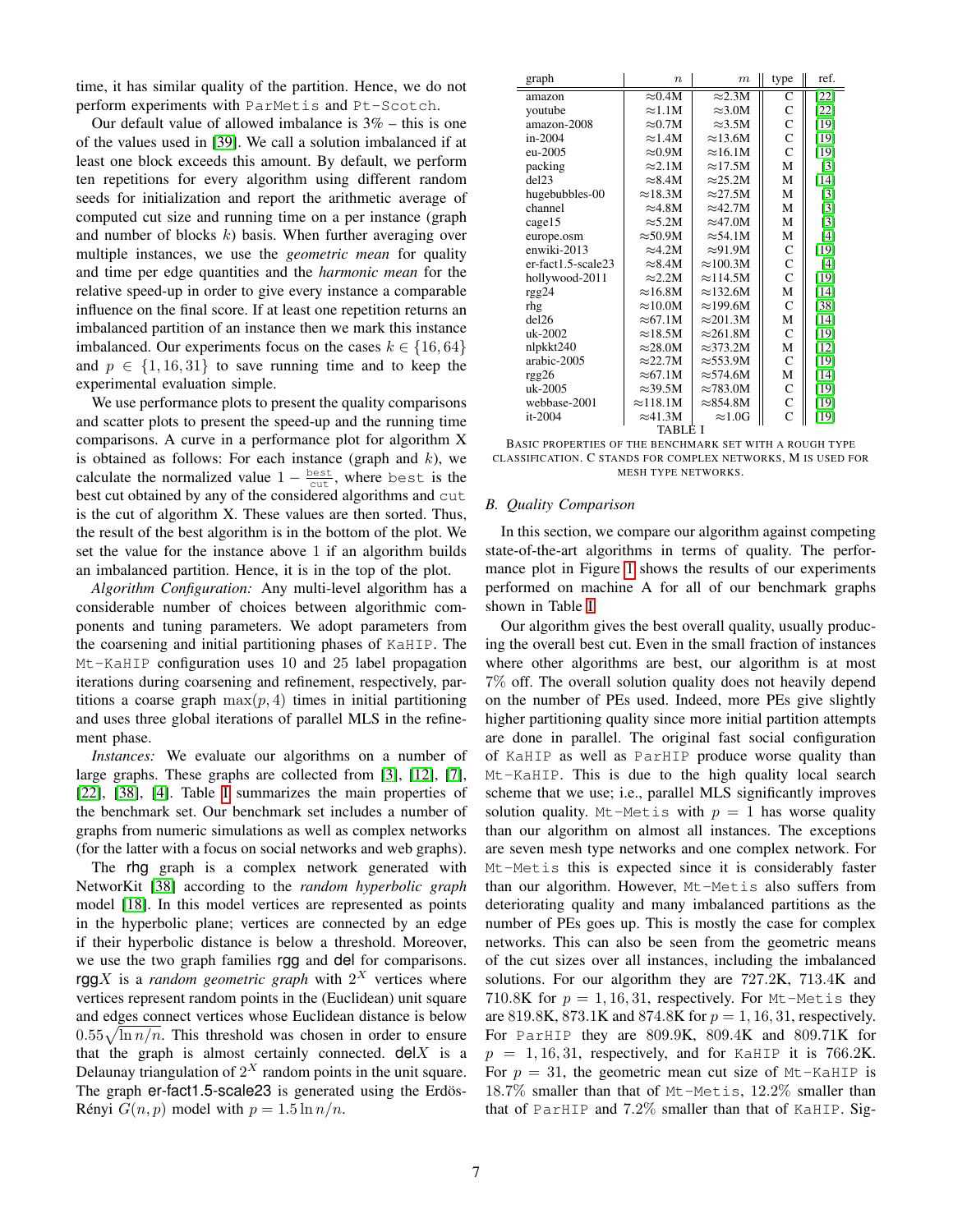time, it has similar quality of the partition. Hence, we do not perform experiments with ParMetis and Pt-Scotch.

Our default value of allowed imbalance is  $3\%$  – this is one of the values used in [\[39\]](#page-11-12). We call a solution imbalanced if at least one block exceeds this amount. By default, we perform ten repetitions for every algorithm using different random seeds for initialization and report the arithmetic average of computed cut size and running time on a per instance (graph and number of blocks  $k$ ) basis. When further averaging over multiple instances, we use the *geometric mean* for quality and time per edge quantities and the *harmonic mean* for the relative speed-up in order to give every instance a comparable influence on the final score. If at least one repetition returns an imbalanced partition of an instance then we mark this instance imbalanced. Our experiments focus on the cases  $k \in \{16, 64\}$ and  $p \in \{1, 16, 31\}$  to save running time and to keep the experimental evaluation simple.

We use performance plots to present the quality comparisons and scatter plots to present the speed-up and the running time comparisons. A curve in a performance plot for algorithm X is obtained as follows: For each instance (graph and  $k$ ), we calculate the normalized value  $1 - \frac{\text{best}}{\text{cut}}$ , where best is the best cut obtained by any of the considered algorithms and cut is the cut of algorithm X. These values are then sorted. Thus, the result of the best algorithm is in the bottom of the plot. We set the value for the instance above 1 if an algorithm builds an imbalanced partition. Hence, it is in the top of the plot.

*Algorithm Configuration:* Any multi-level algorithm has a considerable number of choices between algorithmic components and tuning parameters. We adopt parameters from the coarsening and initial partitioning phases of KaHIP. The Mt-KaHIP configuration uses 10 and 25 label propagation iterations during coarsening and refinement, respectively, partitions a coarse graph  $\max(p, 4)$  times in initial partitioning and uses three global iterations of parallel MLS in the refinement phase.

*Instances:* We evaluate our algorithms on a number of large graphs. These graphs are collected from [\[3\]](#page-10-19), [\[12\]](#page-10-20), [\[7\]](#page-10-21), [\[22\]](#page-10-22), [\[38\]](#page-11-13), [\[4\]](#page-10-23). Table [I](#page-6-0) summarizes the main properties of the benchmark set. Our benchmark set includes a number of graphs from numeric simulations as well as complex networks (for the latter with a focus on social networks and web graphs).

The rhg graph is a complex network generated with NetworKit [\[38\]](#page-11-13) according to the *random hyperbolic graph* model [\[18\]](#page-10-24). In this model vertices are represented as points in the hyperbolic plane; vertices are connected by an edge if their hyperbolic distance is below a threshold. Moreover, we use the two graph families rgg and del for comparisons.  $\text{rgg}X$  is a *random geometric graph* with  $2^X$  vertices where vertices represent random points in the (Euclidean) unit square and edges connect vertices whose Euclidean distance is below  $0.55\sqrt{\ln n/n}$ . This threshold was chosen in order to ensure that the graph is almost certainly connected.  $delX$  is a Delaunay triangulation of  $2^X$  random points in the unit square. The graph er-fact1.5-scale23 is generated using the Erdös-Rényi  $G(n, p)$  model with  $p = 1.5 \ln n/n$ .

| graph              | $\boldsymbol{n}$ | m                | type         | ref.              |
|--------------------|------------------|------------------|--------------|-------------------|
| amazon             | $\approx 0.4M$   | $\approx 2.3M$   | С            | [22]              |
| youtube            | $\approx 1.1M$   | $\approx 3.0M$   | C            | [22]              |
| amazon-2008        | $\approx 0.7M$   | $\approx$ 3.5M   | C            | [19]              |
| $in-2004$          | $\approx$ 1.4M   | $\approx$ 13.6M  | C            | [19]              |
| eu-2005            | $\approx$ 0.9M   | $\approx$ 16.1M  | C            | [19]              |
| packing            | $\approx$ 2.1M   | $\approx$ 17.5M  | М            | $\lceil 3 \rceil$ |
| del23              | $\approx$ 8.4M   | $\approx$ 25.2M  | М            | $[14]$            |
| hugebubbles-00     | $\approx$ 18.3M  | $\approx$ 27.5M  | M            | $[3]$             |
| channel            | $\approx$ 4.8M   | $\approx$ 42.7M  | М            | $\lceil 3 \rceil$ |
| cage15             | $\approx 5.2M$   | $\approx$ 47.0M  | М            | $[3]$             |
| europe.osm         | $\approx$ 50.9M  | $\approx$ 54.1M  | М            | [4]               |
| enwiki-2013        | $\approx$ 4.2M   | $\approx$ 91.9M  | C            | [19]              |
| er-fact1.5-scale23 | $\approx$ 8.4M   | $\approx$ 100.3M | C            | [4]               |
| hollywood-2011     | $\approx$ 2.2M   | $\approx$ 114.5M | C            | [19]              |
| rgg24              | $\approx$ 16.8M  | $\approx$ 132.6M | M            | $[14]$            |
| rhg                | $\approx$ 10.0M  | $\approx$ 199.6M | $\mathsf{C}$ | [38]              |
| del26              | $\approx$ 67.1M  | $\approx$ 201.3M | М            | $[14]$            |
| uk-2002            | $\approx$ 18.5M  | $\approx$ 261.8M | C            | [19]              |
| nlpkkt240          | $\approx$ 28.0M  | $\approx$ 373.2M | М            | [12]              |
| arabic-2005        | $\approx$ 22.7M  | $\approx$ 553.9M | C            | [19]              |
| rgg26              | $\approx$ 67.1M  | $\approx$ 574.6M | М            | [14]              |
| uk-2005            | $\approx$ 39.5M  | $\approx$ 783.0M | C            | [19]              |
| webbase-2001       | $\approx$ 118.1M | $\approx$ 854.8M | C            | [19]              |
| it-2004            | $\approx$ 41.3M  | ${\approx}1.0G$  | C            | [19]              |
| TABLE I            |                  |                  |              |                   |

<span id="page-6-0"></span>BASIC PROPERTIES OF THE BENCHMARK SET WITH A ROUGH TYPE CLASSIFICATION. C STANDS FOR COMPLEX NETWORKS, M IS USED FOR MESH TYPE NETWORKS.

#### *B. Quality Comparison*

In this section, we compare our algorithm against competing state-of-the-art algorithms in terms of quality. The performance plot in Figure [1](#page-7-0) shows the results of our experiments performed on machine A for all of our benchmark graphs shown in Table [I.](#page-6-0)

Our algorithm gives the best overall quality, usually producing the overall best cut. Even in the small fraction of instances where other algorithms are best, our algorithm is at most 7% off. The overall solution quality does not heavily depend on the number of PEs used. Indeed, more PEs give slightly higher partitioning quality since more initial partition attempts are done in parallel. The original fast social configuration of KaHIP as well as ParHIP produce worse quality than Mt-KaHIP. This is due to the high quality local search scheme that we use; i.e., parallel MLS significantly improves solution quality. Mt-Metis with  $p = 1$  has worse quality than our algorithm on almost all instances. The exceptions are seven mesh type networks and one complex network. For Mt-Metis this is expected since it is considerably faster than our algorithm. However, Mt-Metis also suffers from deteriorating quality and many imbalanced partitions as the number of PEs goes up. This is mostly the case for complex networks. This can also be seen from the geometric means of the cut sizes over all instances, including the imbalanced solutions. For our algorithm they are 727.2K, 713.4K and 710.8K for  $p = 1, 16, 31$ , respectively. For Mt-Metis they are 819.8K, 873.1K and 874.8K for  $p = 1, 16, 31$ , respectively. For ParHIP they are 809.9K, 809.4K and 809.71K for  $p = 1, 16, 31$ , respectively, and for KaHIP it is 766.2K. For  $p = 31$ , the geometric mean cut size of Mt-KaHIP is 18.7% smaller than that of Mt-Metis, 12.2% smaller than that of ParHIP and 7.2% smaller than that of KaHIP. Sig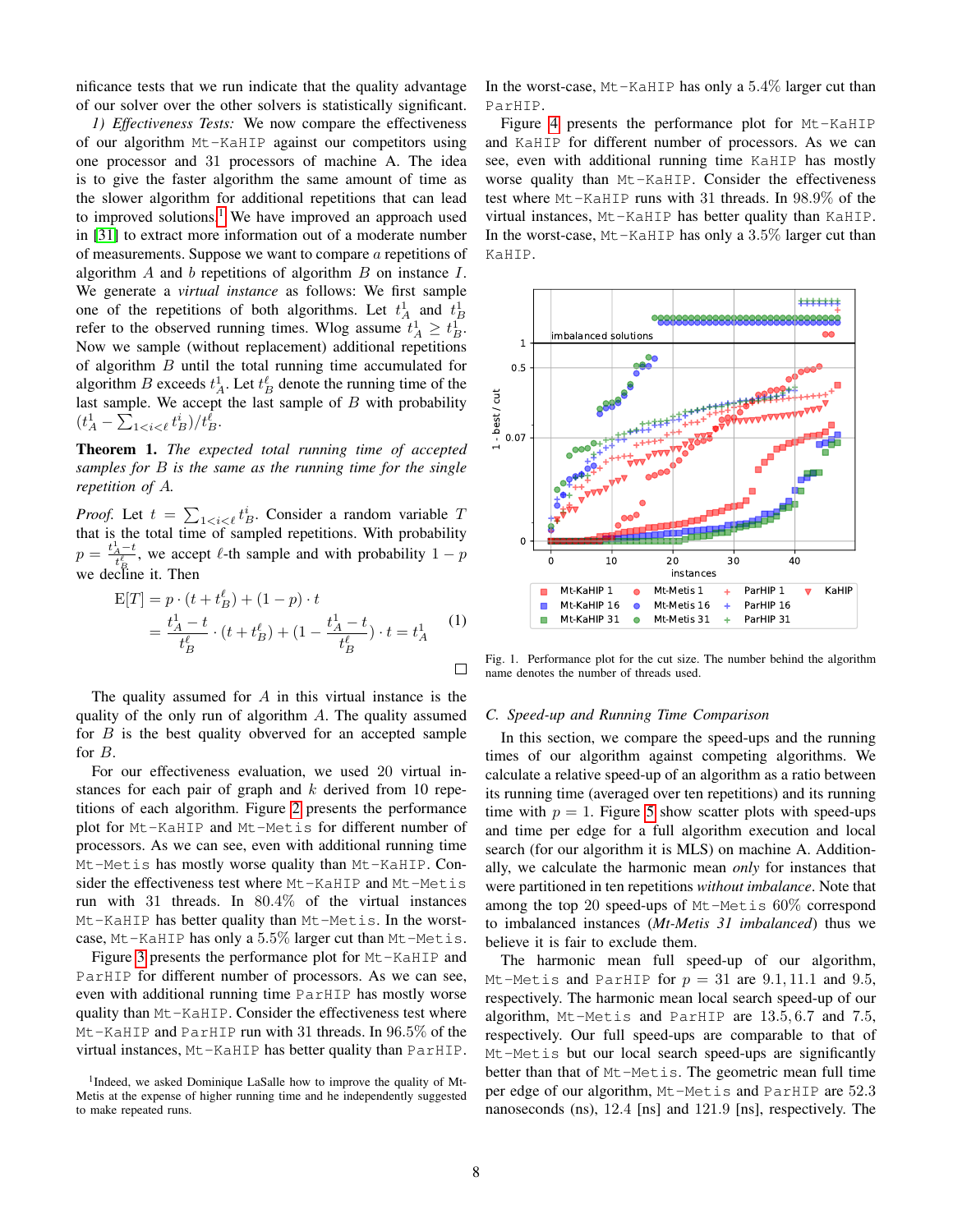nificance tests that we run indicate that the quality advantage of our solver over the other solvers is statistically significant.

*1) Effectiveness Tests:* We now compare the effectiveness of our algorithm Mt-KaHIP against our competitors using one processor and 31 processors of machine A. The idea is to give the faster algorithm the same amount of time as the slower algorithm for additional repetitions that can lead to improved solutions.<sup>[1](#page-7-1)</sup> We have improved an approach used in [\[31\]](#page-11-0) to extract more information out of a moderate number of measurements. Suppose we want to compare a repetitions of algorithm  $A$  and  $b$  repetitions of algorithm  $B$  on instance  $I$ . We generate a *virtual instance* as follows: We first sample one of the repetitions of both algorithms. Let  $t_A^1$  and  $t_B^1$ refer to the observed running times. Wlog assume  $t_A^1 \geq t_B^1$ . Now we sample (without replacement) additional repetitions of algorithm  $B$  until the total running time accumulated for algorithm B exceeds  $t_A^1$ . Let  $t_B^{\ell}$  denote the running time of the last sample. We accept the last sample of  $B$  with probability  $(t_A^1 - \sum_{1 \le i \le \ell} t_B^i)/t_B^{\ell}$ .

Theorem 1. *The expected total running time of accepted samples for* B *is the same as the running time for the single repetition of* A*.*

*Proof.* Let  $t = \sum_{1 \leq i \leq \ell} t_B^i$ . Consider a random variable T that is the total time of sampled repetitions. With probability  $p = \frac{t_A^1 - t}{t_B^2}$ , we accept  $\ell$ -th sample and with probability  $1 - p$ we decline it. Then

$$
E[T] = p \cdot (t + t_B^{\ell}) + (1 - p) \cdot t
$$
  
=  $\frac{t_A^1 - t}{t_B^{\ell}} \cdot (t + t_B^{\ell}) + (1 - \frac{t_A^1 - t}{t_B^{\ell}}) \cdot t = t_A^1$  (1)

The quality assumed for  $A$  in this virtual instance is the quality of the only run of algorithm A. The quality assumed for  $B$  is the best quality obverved for an accepted sample for B.

For our effectiveness evaluation, we used 20 virtual instances for each pair of graph and  $k$  derived from 10 repetitions of each algorithm. Figure [2](#page-8-0) presents the performance plot for Mt-KaHIP and Mt-Metis for different number of processors. As we can see, even with additional running time Mt-Metis has mostly worse quality than Mt-KaHIP. Consider the effectiveness test where Mt-KaHIP and Mt-Metis run with 31 threads. In 80.4% of the virtual instances Mt-KaHIP has better quality than Mt-Metis. In the worstcase, Mt-KaHIP has only a 5.5% larger cut than Mt-Metis.

Figure [3](#page-8-1) presents the performance plot for Mt-KaHIP and ParHIP for different number of processors. As we can see, even with additional running time ParHIP has mostly worse quality than Mt-KaHIP. Consider the effectiveness test where Mt-KaHIP and ParHIP run with 31 threads. In 96.5% of the virtual instances, Mt-KaHIP has better quality than ParHIP. In the worst-case,  $Mt - KaHIP$  has only a 5.4% larger cut than ParHIP.

Figure [4](#page-9-0) presents the performance plot for Mt-KaHIP and KaHIP for different number of processors. As we can see, even with additional running time KaHIP has mostly worse quality than Mt-KaHIP. Consider the effectiveness test where Mt-KaHIP runs with 31 threads. In 98.9% of the virtual instances, Mt-KaHIP has better quality than KaHIP. In the worst-case,  $Mt - KaHIP$  has only a  $3.5\%$  larger cut than KaHIP.



<span id="page-7-0"></span>Fig. 1. Performance plot for the cut size. The number behind the algorithm name denotes the number of threads used.

#### *C. Speed-up and Running Time Comparison*

In this section, we compare the speed-ups and the running times of our algorithm against competing algorithms. We calculate a relative speed-up of an algorithm as a ratio between its running time (averaged over ten repetitions) and its running time with  $p = 1$ . Figure [5](#page-9-1) show scatter plots with speed-ups and time per edge for a full algorithm execution and local search (for our algorithm it is MLS) on machine A. Additionally, we calculate the harmonic mean *only* for instances that were partitioned in ten repetitions *without imbalance*. Note that among the top 20 speed-ups of Mt-Metis 60% correspond to imbalanced instances (*Mt-Metis 31 imbalanced*) thus we believe it is fair to exclude them.

The harmonic mean full speed-up of our algorithm, Mt-Metis and ParHIP for  $p = 31$  are 9.1, 11.1 and 9.5, respectively. The harmonic mean local search speed-up of our algorithm, Mt-Metis and ParHIP are 13.5, 6.7 and 7.5, respectively. Our full speed-ups are comparable to that of Mt-Metis but our local search speed-ups are significantly better than that of Mt-Metis. The geometric mean full time per edge of our algorithm, Mt-Metis and ParHIP are 52.3 nanoseconds (ns), 12.4 [ns] and 121.9 [ns], respectively. The

<span id="page-7-1"></span><sup>&</sup>lt;sup>1</sup>Indeed, we asked Dominique LaSalle how to improve the quality of Mt-Metis at the expense of higher running time and he independently suggested to make repeated runs.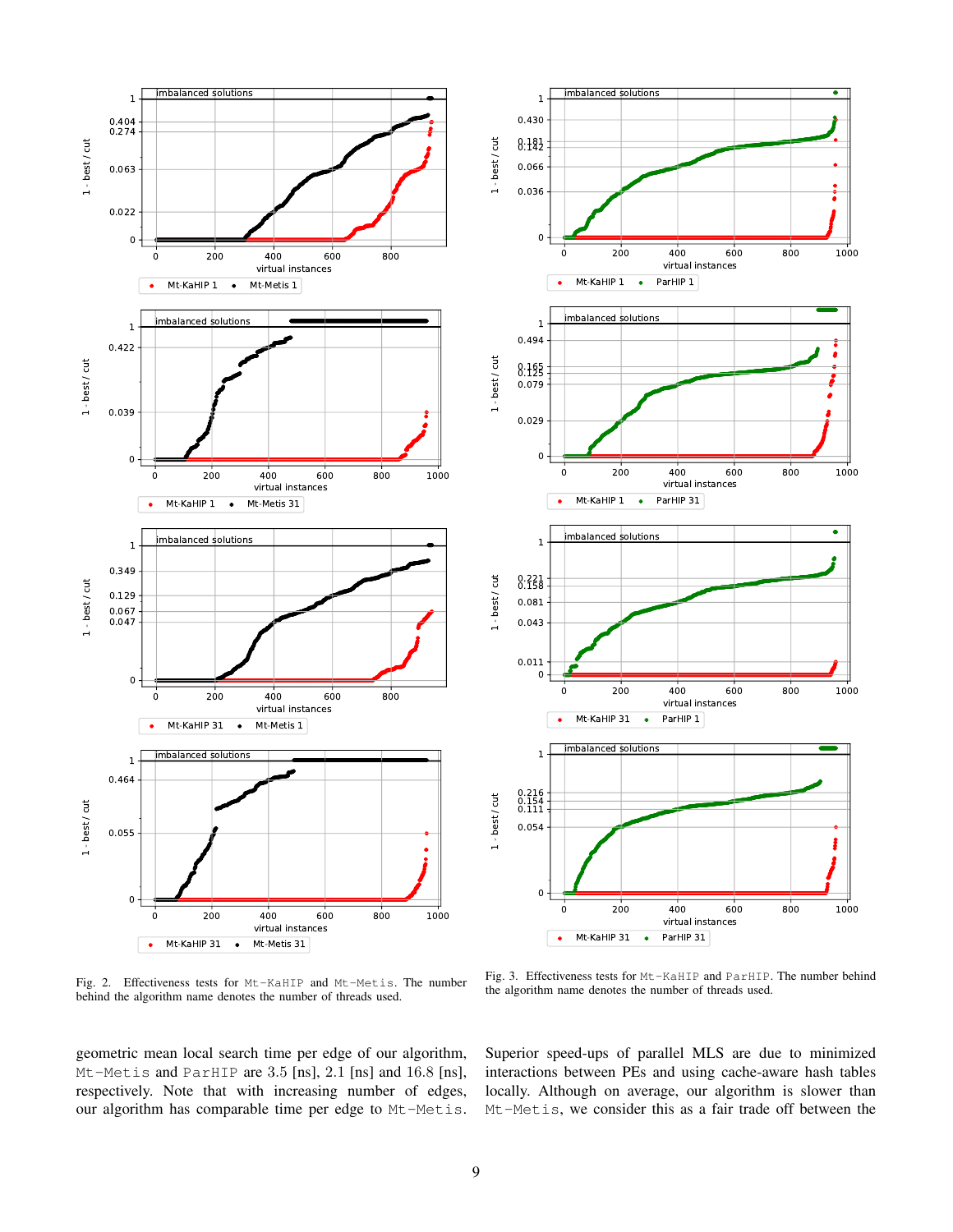



<span id="page-8-0"></span>Fig. 2. Effectiveness tests for Mt-KaHIP and Mt-Metis. The number behind the algorithm name denotes the number of threads used.

<span id="page-8-1"></span>Fig. 3. Effectiveness tests for Mt-KaHIP and ParHIP. The number behind the algorithm name denotes the number of threads used.

geometric mean local search time per edge of our algorithm, Mt-Metis and ParHIP are 3.5 [ns], 2.1 [ns] and 16.8 [ns], respectively. Note that with increasing number of edges, our algorithm has comparable time per edge to Mt-Metis. Superior speed-ups of parallel MLS are due to minimized interactions between PEs and using cache-aware hash tables locally. Although on average, our algorithm is slower than Mt-Metis, we consider this as a fair trade off between the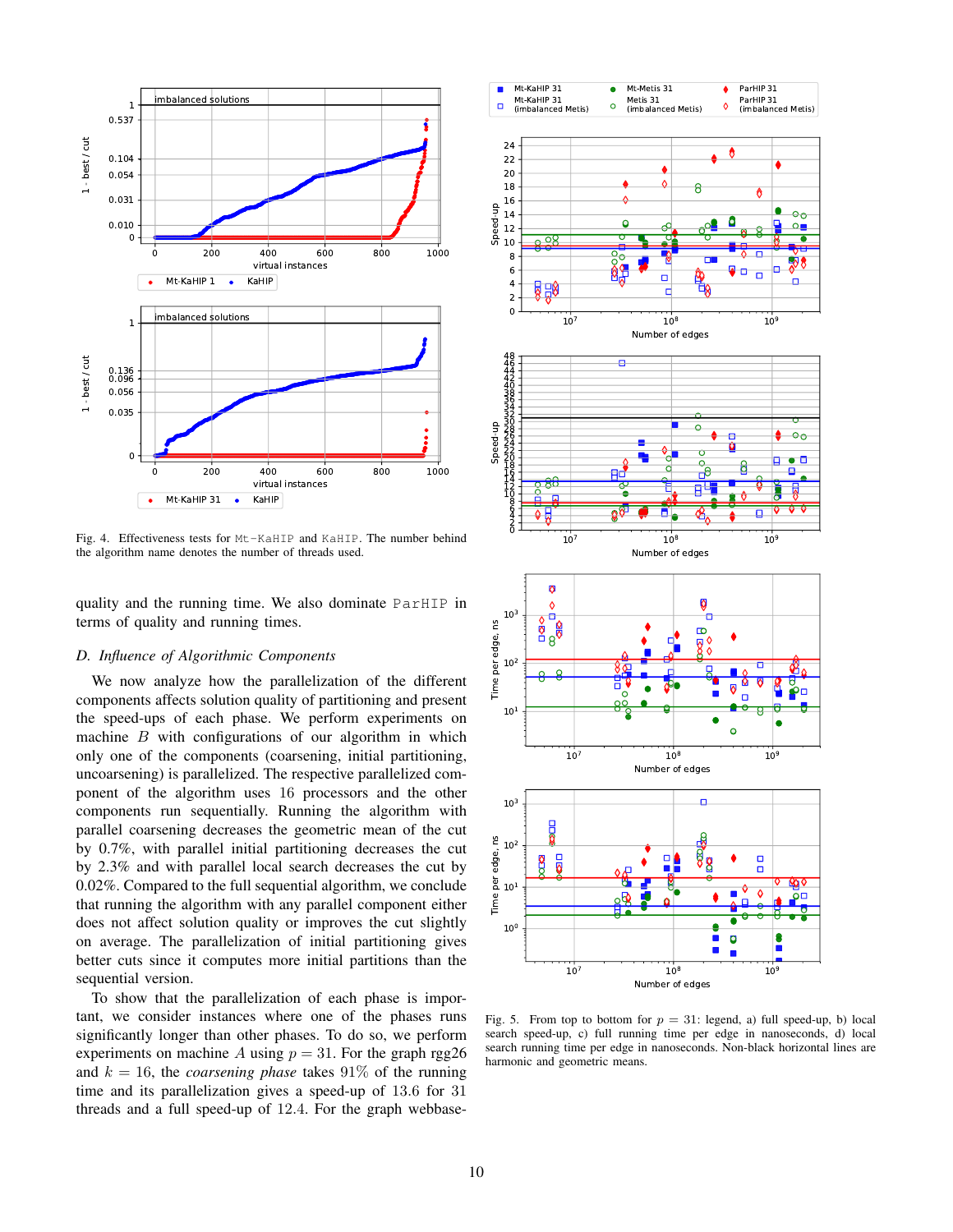

<span id="page-9-0"></span>Fig. 4. Effectiveness tests for Mt-KaHIP and KaHIP. The number behind the algorithm name denotes the number of threads used.

quality and the running time. We also dominate ParHIP in terms of quality and running times.

#### *D. Influence of Algorithmic Components*

We now analyze how the parallelization of the different components affects solution quality of partitioning and present the speed-ups of each phase. We perform experiments on machine  $B$  with configurations of our algorithm in which only one of the components (coarsening, initial partitioning, uncoarsening) is parallelized. The respective parallelized component of the algorithm uses 16 processors and the other components run sequentially. Running the algorithm with parallel coarsening decreases the geometric mean of the cut by 0.7%, with parallel initial partitioning decreases the cut by 2.3% and with parallel local search decreases the cut by 0.02%. Compared to the full sequential algorithm, we conclude that running the algorithm with any parallel component either does not affect solution quality or improves the cut slightly on average. The parallelization of initial partitioning gives better cuts since it computes more initial partitions than the sequential version.

To show that the parallelization of each phase is important, we consider instances where one of the phases runs significantly longer than other phases. To do so, we perform experiments on machine A using  $p = 31$ . For the graph rgg26 and  $k = 16$ , the *coarsening phase* takes  $91\%$  of the running time and its parallelization gives a speed-up of 13.6 for 31 threads and a full speed-up of 12.4. For the graph webbase-



<span id="page-9-1"></span>Fig. 5. From top to bottom for  $p = 31$ : legend, a) full speed-up, b) local search speed-up, c) full running time per edge in nanoseconds, d) local search running time per edge in nanoseconds. Non-black horizontal lines are harmonic and geometric means.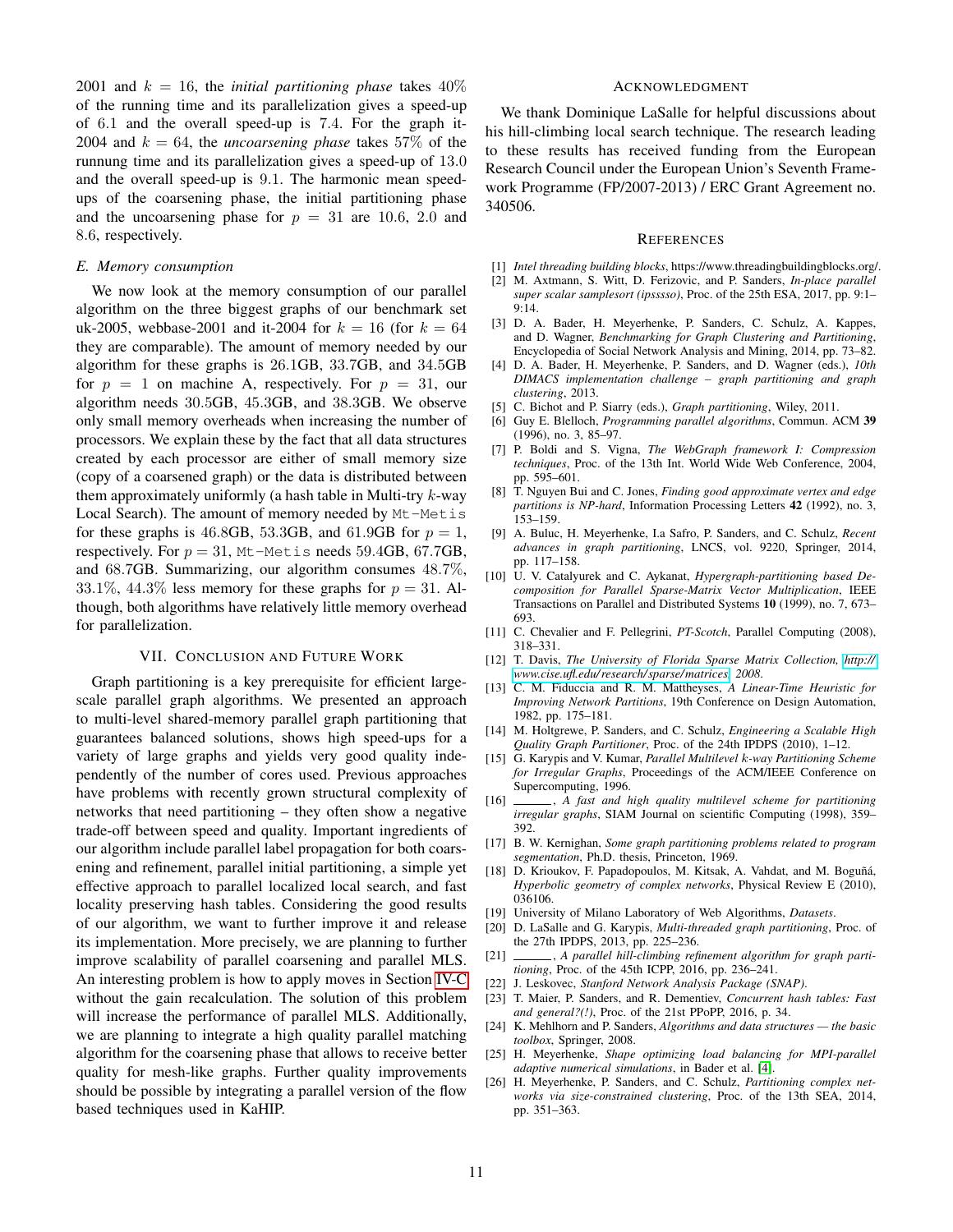2001 and  $k = 16$ , the *initial partitioning phase* takes  $40\%$ of the running time and its parallelization gives a speed-up of 6.1 and the overall speed-up is 7.4. For the graph it-2004 and  $k = 64$ , the *uncoarsening phase* takes 57% of the runnung time and its parallelization gives a speed-up of 13.0 and the overall speed-up is 9.1. The harmonic mean speedups of the coarsening phase, the initial partitioning phase and the uncoarsening phase for  $p = 31$  are 10.6, 2.0 and 8.6, respectively.

# *E. Memory consumption*

We now look at the memory consumption of our parallel algorithm on the three biggest graphs of our benchmark set uk-2005, webbase-2001 and it-2004 for  $k = 16$  (for  $k = 64$ ) they are comparable). The amount of memory needed by our algorithm for these graphs is 26.1GB, 33.7GB, and 34.5GB for  $p = 1$  on machine A, respectively. For  $p = 31$ , our algorithm needs 30.5GB, 45.3GB, and 38.3GB. We observe only small memory overheads when increasing the number of processors. We explain these by the fact that all data structures created by each processor are either of small memory size (copy of a coarsened graph) or the data is distributed between them approximately uniformly (a hash table in Multi-try  $k$ -way Local Search). The amount of memory needed by Mt-Metis for these graphs is 46.8GB, 53.3GB, and 61.9GB for  $p = 1$ , respectively. For  $p = 31$ , Mt-Metis needs 59.4GB, 67.7GB, and 68.7GB. Summarizing, our algorithm consumes 48.7%, 33.1%, 44.3% less memory for these graphs for  $p = 31$ . Although, both algorithms have relatively little memory overhead for parallelization.

# VII. CONCLUSION AND FUTURE WORK

Graph partitioning is a key prerequisite for efficient largescale parallel graph algorithms. We presented an approach to multi-level shared-memory parallel graph partitioning that guarantees balanced solutions, shows high speed-ups for a variety of large graphs and yields very good quality independently of the number of cores used. Previous approaches have problems with recently grown structural complexity of networks that need partitioning – they often show a negative trade-off between speed and quality. Important ingredients of our algorithm include parallel label propagation for both coarsening and refinement, parallel initial partitioning, a simple yet effective approach to parallel localized local search, and fast locality preserving hash tables. Considering the good results of our algorithm, we want to further improve it and release its implementation. More precisely, we are planning to further improve scalability of parallel coarsening and parallel MLS. An interesting problem is how to apply moves in Section [IV-C](#page-3-1) without the gain recalculation. The solution of this problem will increase the performance of parallel MLS. Additionally, we are planning to integrate a high quality parallel matching algorithm for the coarsening phase that allows to receive better quality for mesh-like graphs. Further quality improvements should be possible by integrating a parallel version of the flow based techniques used in KaHIP.

# ACKNOWLEDGMENT

We thank Dominique LaSalle for helpful discussions about his hill-climbing local search technique. The research leading to these results has received funding from the European Research Council under the European Union's Seventh Framework Programme (FP/2007-2013) / ERC Grant Agreement no. 340506.

#### **REFERENCES**

- <span id="page-10-16"></span>[1] *Intel threading building blocks*, https://www.threadingbuildingblocks.org/.
- <span id="page-10-15"></span>[2] M. Axtmann, S. Witt, D. Ferizovic, and P. Sanders, *In-place parallel super scalar samplesort (ipsssso)*, Proc. of the 25th ESA, 2017, pp. 9:1– 9:14.
- <span id="page-10-19"></span>[3] D. A. Bader, H. Meyerhenke, P. Sanders, C. Schulz, A. Kappes, and D. Wagner, *Benchmarking for Graph Clustering and Partitioning*, Encyclopedia of Social Network Analysis and Mining, 2014, pp. 73–82.
- <span id="page-10-23"></span>[4] D. A. Bader, H. Meyerhenke, P. Sanders, and D. Wagner (eds.), *10th DIMACS implementation challenge – graph partitioning and graph clustering*, 2013.
- <span id="page-10-3"></span>[5] C. Bichot and P. Siarry (eds.), *Graph partitioning*, Wiley, 2011.
- <span id="page-10-2"></span>[6] Guy E. Blelloch, *Programming parallel algorithms*, Commun. ACM 39 (1996), no. 3, 85–97.
- <span id="page-10-21"></span>[7] P. Boldi and S. Vigna, *The WebGraph framework I: Compression techniques*, Proc. of the 13th Int. World Wide Web Conference, 2004, pp. 595–601.
- <span id="page-10-0"></span>[8] T. Nguyen Bui and C. Jones, *Finding good approximate vertex and edge partitions is NP-hard*, Information Processing Letters 42 (1992), no. 3, 153–159.
- <span id="page-10-4"></span>[9] A. Buluc, H. Meyerhenke, I.a Safro, P. Sanders, and C. Schulz, *Recent advances in graph partitioning*, LNCS, vol. 9220, Springer, 2014, pp. 117–158.
- <span id="page-10-12"></span>[10] U. V. Catalyurek and C. Aykanat, *Hypergraph-partitioning based Decomposition for Parallel Sparse-Matrix Vector Multiplication*, IEEE Transactions on Parallel and Distributed Systems 10 (1999), no. 7, 673– 693.
- <span id="page-10-6"></span>[11] C. Chevalier and F. Pellegrini, *PT-Scotch*, Parallel Computing (2008), 318–331.
- <span id="page-10-20"></span>[12] T. Davis, *The University of Florida Sparse Matrix Collection, [http://](http://www.cise.ufl.edu/research/sparse/matrices) [www.cise.ufl.edu/ research/ sparse/matrices,](http://www.cise.ufl.edu/research/sparse/matrices) 2008*.
- <span id="page-10-14"></span>[13] C. M. Fiduccia and R. M. Mattheyses, *A Linear-Time Heuristic for Improving Network Partitions*, 19th Conference on Design Automation, 1982, pp. 175–181.
- <span id="page-10-10"></span>[14] M. Holtgrewe, P. Sanders, and C. Schulz, *Engineering a Scalable High Quality Graph Partitioner*, Proc. of the 24th IPDPS (2010), 1–12.
- <span id="page-10-7"></span>[15] G. Karypis and V. Kumar, *Parallel Multilevel* k*-way Partitioning Scheme for Irregular Graphs*, Proceedings of the ACM/IEEE Conference on Supercomputing, 1996.
- <span id="page-10-5"></span>[16]  $\_\_\_\_\_$ , *A fast and high quality multilevel scheme for partitioning irregular graphs*, SIAM Journal on scientific Computing (1998), 359– 392.
- <span id="page-10-13"></span>[17] B. W. Kernighan, *Some graph partitioning problems related to program segmentation*, Ph.D. thesis, Princeton, 1969.
- <span id="page-10-24"></span>[18] D. Krioukov, F. Papadopoulos, M. Kitsak, A. Vahdat, and M. Boguñá, *Hyperbolic geometry of complex networks*, Physical Review E (2010), 036106.
- <span id="page-10-25"></span>[19] University of Milano Laboratory of Web Algorithms, *Datasets*.
- <span id="page-10-9"></span>[20] D. LaSalle and G. Karypis, *Multi-threaded graph partitioning*, Proc. of the 27th IPDPS, 2013, pp. 225–236.
- <span id="page-10-8"></span>[21] , *A parallel hill-climbing refinement algorithm for graph partitioning*, Proc. of the 45th ICPP, 2016, pp. 236–241.
- <span id="page-10-22"></span>[22] J. Leskovec, *Stanford Network Analysis Package (SNAP)*.
- <span id="page-10-17"></span>[23] T. Maier, P. Sanders, and R. Dementiev, *Concurrent hash tables: Fast and general?(!)*, Proc. of the 21st PPoPP, 2016, p. 34.
- <span id="page-10-18"></span>[24] K. Mehlhorn and P. Sanders, *Algorithms and data structures — the basic toolbox*, Springer, 2008.
- <span id="page-10-11"></span>[25] H. Meyerhenke, *Shape optimizing load balancing for MPI-parallel adaptive numerical simulations*, in Bader et al. [\[4\]](#page-10-23).
- <span id="page-10-1"></span>[26] H. Meyerhenke, P. Sanders, and C. Schulz, *Partitioning complex networks via size-constrained clustering*, Proc. of the 13th SEA, 2014, pp. 351–363.